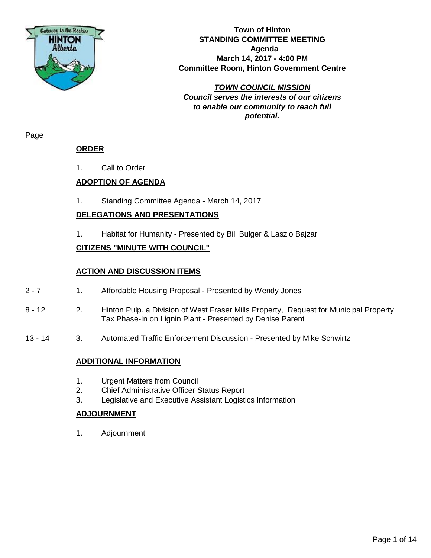

**Town of Hinton STANDING COMMITTEE MEETING Agenda March 14, 2017 - 4:00 PM Committee Room, Hinton Government Centre**

*TOWN COUNCIL MISSION Council serves the interests of our citizens to enable our community to reach full potential.*

Page

# **ORDER**

1. Call to Order

# **ADOPTION OF AGENDA**

1. Standing Committee Agenda - March 14, 2017

# **DELEGATIONS AND PRESENTATIONS**

1. Habitat for Humanity - Presented by Bill Bulger & Laszlo Bajzar

# **CITIZENS "MINUTE WITH COUNCIL"**

# **ACTION AND DISCUSSION ITEMS**

- 2 7 1. Affordable Housing Proposal Presented by Wendy Jones
- 8 12 2. Hinton Pulp. a Division of West Fraser Mills Property, Request for Municipal Property Tax Phase-In on Lignin Plant - Presented by Denise Parent
- 13 14 3. Automated Traffic Enforcement Discussion Presented by Mike Schwirtz

# **ADDITIONAL INFORMATION**

- 1. Urgent Matters from Council
- 2. Chief Administrative Officer Status Report
- 3. Legislative and Executive Assistant Logistics Information

# **ADJOURNMENT**

1. Adjournment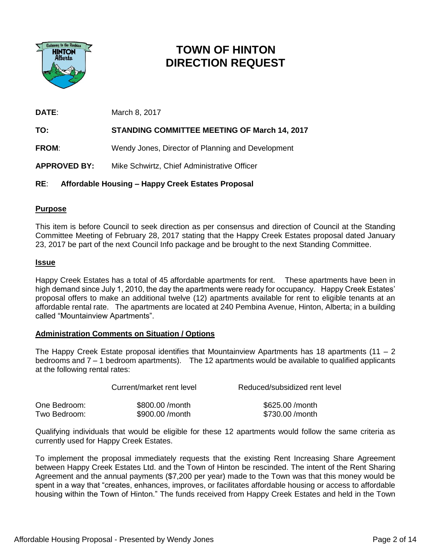

# **TOWN OF HINTON DIRECTION REQUEST**

**DATE:** March 8, 2017

**TO: STANDING COMMITTEE MEETING OF March 14, 2017**

**FROM**: Wendy Jones, Director of Planning and Development

**APPROVED BY:** Mike Schwirtz, Chief Administrative Officer

# **RE**: **Affordable Housing – Happy Creek Estates Proposal**

# **Purpose**

This item is before Council to seek direction as per consensus and direction of Council at the Standing Committee Meeting of February 28, 2017 stating that the Happy Creek Estates proposal dated January 23, 2017 be part of the next Council Info package and be brought to the next Standing Committee.

# **Issue**

Happy Creek Estates has a total of 45 affordable apartments for rent. These apartments have been in high demand since July 1, 2010, the day the apartments were ready for occupancy. Happy Creek Estates' proposal offers to make an additional twelve (12) apartments available for rent to eligible tenants at an affordable rental rate. The apartments are located at 240 Pembina Avenue, Hinton, Alberta; in a building called "Mountainview Apartments".

# **Administration Comments on Situation / Options**

The Happy Creek Estate proposal identifies that Mountainview Apartments has 18 apartments (11 – 2) bedrooms and 7 – 1 bedroom apartments). The 12 apartments would be available to qualified applicants at the following rental rates:

|              | Current/market rent level | Reduced/subsidized rent level |  |
|--------------|---------------------------|-------------------------------|--|
| One Bedroom: | \$800.00 / month          | \$625.00 / month              |  |
| Two Bedroom: | \$900.00 / month          | \$730.00 /month               |  |

Qualifying individuals that would be eligible for these 12 apartments would follow the same criteria as currently used for Happy Creek Estates.

To implement the proposal immediately requests that the existing Rent Increasing Share Agreement between Happy Creek Estates Ltd. and the Town of Hinton be rescinded. The intent of the Rent Sharing Agreement and the annual payments (\$7,200 per year) made to the Town was that this money would be spent in a way that "creates, enhances, improves, or facilitates affordable housing or access to affordable housing within the Town of Hinton." The funds received from Happy Creek Estates and held in the Town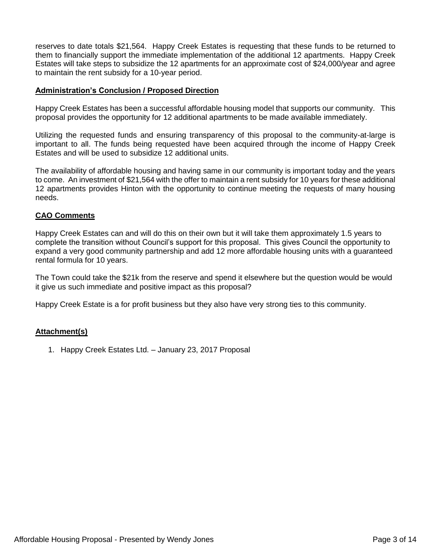reserves to date totals \$21,564. Happy Creek Estates is requesting that these funds to be returned to them to financially support the immediate implementation of the additional 12 apartments. Happy Creek Estates will take steps to subsidize the 12 apartments for an approximate cost of \$24,000/year and agree to maintain the rent subsidy for a 10-year period.

# **Administration's Conclusion / Proposed Direction**

Happy Creek Estates has been a successful affordable housing model that supports our community. This proposal provides the opportunity for 12 additional apartments to be made available immediately.

Utilizing the requested funds and ensuring transparency of this proposal to the community-at-large is important to all. The funds being requested have been acquired through the income of Happy Creek Estates and will be used to subsidize 12 additional units.

The availability of affordable housing and having same in our community is important today and the years to come. An investment of \$21,564 with the offer to maintain a rent subsidy for 10 years for these additional 12 apartments provides Hinton with the opportunity to continue meeting the requests of many housing needs.

# **CAO Comments**

Happy Creek Estates can and will do this on their own but it will take them approximately 1.5 years to complete the transition without Council's support for this proposal. This gives Council the opportunity to expand a very good community partnership and add 12 more affordable housing units with a guaranteed rental formula for 10 years.

The Town could take the \$21k from the reserve and spend it elsewhere but the question would be would it give us such immediate and positive impact as this proposal?

Happy Creek Estate is a for profit business but they also have very strong ties to this community.

# **Attachment(s)**

1. Happy Creek Estates Ltd. – January 23, 2017 Proposal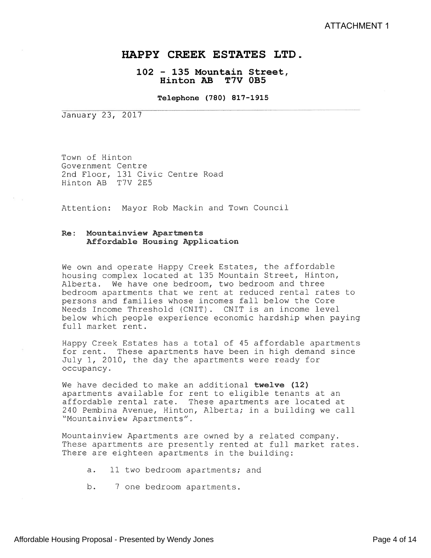# HAPPY CREEK ESTATES LTD.

# 102 - 135 Mountain Street, Hinton AB T7V 0B5

Telephone (780) 817—1915

January 23, 2017

Town of Hinton Government Centre 2nd Floor, 131 Civic Centre Road Hinton AR T7V 2E5

Attention: Mayor Rob Mackin and Town Council

## Re: Mountainview Apartments Affordable Housing Application

We own and operate Happy Creek Estates, the affordable housing complex located at 135 Mountain Street, Hinton, Alberta. We have one bedroom, two bedroom and three bedroom apartments that we rent at reduced rental rates to persons and families whose incomes fall below the Core Needs Income Threshold (CHIT) . CNIT is an income level below which people experience economic hardship when paying full market rent.

Happy Creek Estates has <sup>a</sup> total of 45 affordable apartments for rent. These apartments have been in high demand since July 1, 2010, the day the apartments were ready for occupancy.

We have decided to make an additional twelve (12) apartments available for rent to eligible tenants at an affordable rental rate. These apartments are located at 240 Pembina Avenue, Hinton, Alberta; in a building we call "Mountainview Apartments".

Mountainview Apartments are owned by <sup>a</sup> reLated company. These apartments are presently rented at full market rates. There are eighteen apartments in the building:

a. 11 two bedroom apartments; and

b. 7 one bedroom apartments.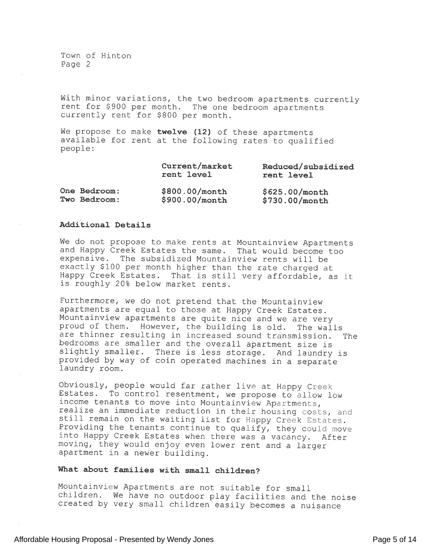Town of Hinton Page 2

With minor variations, the two bedroom apartments currently rent for \$900 per month. The one bedroom apartments currently rent for \$800 per month.

We propose to make twelve (12) of these apartments available [or rent at the followina rates to qualified people:

|              | Current/market<br>rent level | Reduced/subsidized<br>rent level |
|--------------|------------------------------|----------------------------------|
| One Bedroom: | $$800.00/m$ onth             | \$625.00/month                   |
| Two Bedroom: | \$900.00/month               | $$730.00/m$ onth                 |

#### Additional Details

We do not propose to make rents at Mountainview Apartments and Happy Creek Estates the same. That would become too expensive. The subsidized Mountainview rents will be exactly \$100 per month higher than the rate charged at Happy Creek Estates. That is still very affordable, as it is roughly 20% below market rents.

Furthermore, we do not pretend that the Hountainview apartments are equal to those at Happy Creek Estates. Hountainview apartments are quite nice and we are very proud of them. However, the building is old. The walls are thinner resulting in increased sound transmission. The bedrooms are smaller and the overall apartment size is slightly smaller. There is less storage. And laundry is provided by way of coin operated machines in <sup>a</sup> separate laundry room.

Obviously, people would far rather live at Happy Creek Estates. To control resentment, we propose to allow low income tenants to move into Mountainview Apartments, realize an immediate reduction in their housing costs, and still remain on the waiting list for Happy Creek Estates. Providing the tenants continue to qualify, they could move into Happy Creek Estates when there was <sup>a</sup> vacancy. After moving, they would enjoy even lower rent and a larger apartment in <sup>a</sup> newer building.

## What about families with small children?

Mountainview Apartments are not suitable for small children. We have no outdoor <sup>p</sup>lay facilities and the noise created by very small children easily becomes <sup>a</sup> nuisance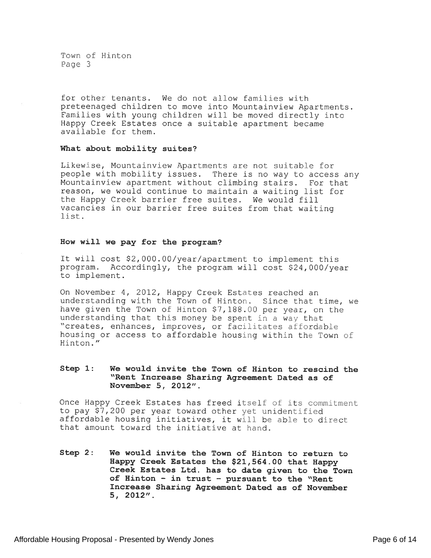'Town of Hinton Page 3

for other tenants. We do not allow families with preteenaged children to move into Mountainview Apartments. Families with young children will be moved directly into Happy Creek Estates once a suitable apartment became available for them.

#### What about mobility suites?

Likewise, Mountainview Apartments are not suitable for people with mobility issues. There is no way to access any Mountainview apartment without climbing stairs. For that reason, we would continue to maintain <sup>a</sup> waiting list for the Happy Creek barrier free suites. We would fill vacancies in our barrier free suites from that waiting list.

#### How will we pay for the program?

It will cost \$2,000.00/year/apartment to implement this program. Accordingly, the program will cost \$24,000/year to implement.

On November 4, 2012, Happy Creek Estates reached an understanding with the Town of Hinton. Since that time, we have given the Town of Hinton \$7,188.00 per year, on the understanding that this money be spent in a way that "creates, enhances, improves, or facilitates affordable housing or access to affordable housing within the Town of Hinton."

## Step 1: We would invite the Town of Hinton to rescind the "Rent Increase Sharing Agreement Dated as of November 5, 2012".

Once Happy Creek Estates has freed itself of its commitment to pay \$7,200 per year toward other ye<sup>t</sup> unidentified affordable housing initiatives, it will be able to direct that amount toward the initiative at hand.

Step 2: We would invite the Town of Hinton to return to Happy Creek Estates the \$21,564.00 that Happy Creek Estates Ltd. has to date <sup>g</sup>iven to the Town of Hinton — in trust — pursuan<sup>t</sup> to the "Rent Increase Sharing Agreement Dated as of November 5, 2012".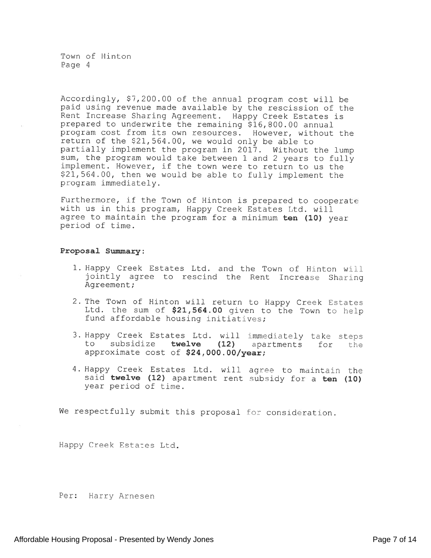Town of Hinton Page 4

Accordingly, \$7,200.00 of the annual program cost will be paid using revenue made available by the rescission of the Rent Increase Sharing Agreement. Happy Creek Estates is prepared to underwrite the remaining \$16,800.00 annual program cost from its own resources. However, without the return of the \$21,564.00, we would only be able to Partially implement the program in 2017. Without the lump sum, the program would take between <sup>1</sup> and <sup>2</sup> years to fully implement. However, if the town were to return to us the \$21,564.00, then we would be able to fully implement the program immediately.

Furthermore, if the Town of Hinton is prepared to cooperate with us in this program, Happy Creek Estates Ltd. will agree to maintain the program for a minimum ten (10) year period of time.

#### Proposa<sup>l</sup> Sunmary.

- 1. Happy Creek Estates Ltd. and the Town of Hinton will jointly agree to rescind the Rent Increase Sharing Agreement;
- 2. The Town of Hinton will return to Happy Creek Estates Ltd. the sum of  $$21,564.00$  given to the Town to help fund affordable housing initiatives;
- 3. Happy Creek Estates Ltd. will immediately take steps<br>to subsidize **twelve (12)** apartments for the apartments for the approximate cost of  $$24,000.00/year;$
- 4. Happy Creek Estates Ltd. will agree to maintain the said twelve (12) apartment rent subsidy for a ten (10) year period of time.

We respectfully submit this proposal for consideration.

Happy Creek Estates Ltd.

Per: Harry Arnesen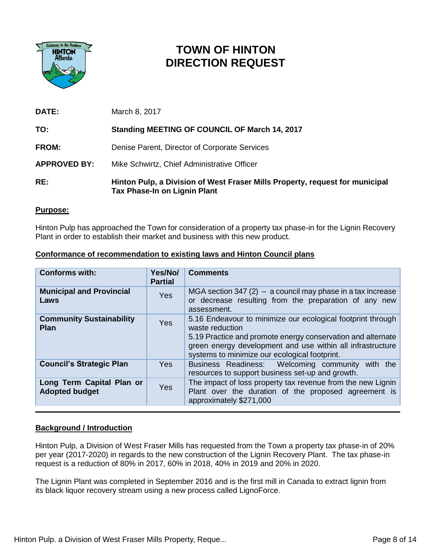

# **TOWN OF HINTON DIRECTION REQUEST**

| RE:                 | Hinton Pulp, a Division of West Fraser Mills Property, request for municipal<br>Tax Phase-In on Lignin Plant |
|---------------------|--------------------------------------------------------------------------------------------------------------|
| <b>APPROVED BY:</b> | Mike Schwirtz, Chief Administrative Officer                                                                  |
| <b>FROM:</b>        | Denise Parent, Director of Corporate Services                                                                |
| TO:                 | Standing MEETING OF COUNCIL OF March 14, 2017                                                                |
| DATE:               | March 8, 2017                                                                                                |

# **Purpose:**

Hinton Pulp has approached the Town for consideration of a property tax phase-in for the Lignin Recovery Plant in order to establish their market and business with this new product.

| <b>Conforms with:</b>                              | Yes/No/<br><b>Partial</b> | <b>Comments</b>                                                                                                                                                                                                                                              |  |
|----------------------------------------------------|---------------------------|--------------------------------------------------------------------------------------------------------------------------------------------------------------------------------------------------------------------------------------------------------------|--|
| <b>Municipal and Provincial</b><br>Laws            | <b>Yes</b>                | MGA section 347 (2) $-$ a council may phase in a tax increase<br>or decrease resulting from the preparation of any new<br>assessment.                                                                                                                        |  |
| <b>Community Sustainability</b><br><b>Plan</b>     | <b>Yes</b>                | 5.16 Endeavour to minimize our ecological footprint through<br>waste reduction<br>5.19 Practice and promote energy conservation and alternate<br>green energy development and use within all infrastructure<br>systems to minimize our ecological footprint. |  |
| <b>Council's Strategic Plan</b>                    | <b>Yes</b>                | Business Readiness: Welcoming community with the<br>resources to support business set-up and growth.                                                                                                                                                         |  |
| Long Term Capital Plan or<br><b>Adopted budget</b> | Yes                       | The impact of loss property tax revenue from the new Lignin<br>Plant over the duration of the proposed agreement is<br>approximately \$271,000                                                                                                               |  |

# **Conformance of recommendation to existing laws and Hinton Council plans**

# **Background / Introduction**

Hinton Pulp, a Division of West Fraser Mills has requested from the Town a property tax phase-in of 20% per year (2017-2020) in regards to the new construction of the Lignin Recovery Plant. The tax phase-in request is a reduction of 80% in 2017, 60% in 2018, 40% in 2019 and 20% in 2020.

The Lignin Plant was completed in September 2016 and is the first mill in Canada to extract lignin from its black liquor recovery stream using a new process called LignoForce.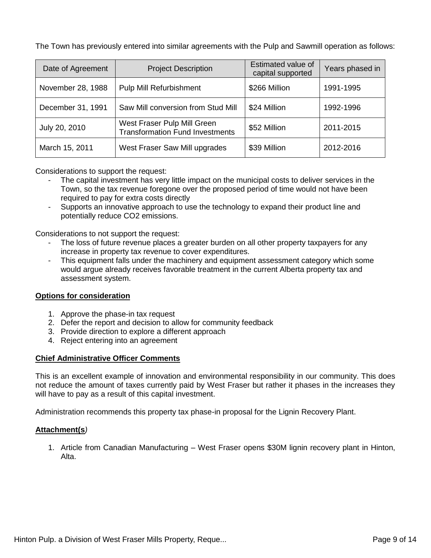The Town has previously entered into similar agreements with the Pulp and Sawmill operation as follows:

| Date of Agreement | <b>Project Description</b>                                            | Estimated value of<br>capital supported | Years phased in |
|-------------------|-----------------------------------------------------------------------|-----------------------------------------|-----------------|
| November 28, 1988 | Pulp Mill Refurbishment                                               | \$266 Million                           | 1991-1995       |
| December 31, 1991 | Saw Mill conversion from Stud Mill                                    | \$24 Million                            | 1992-1996       |
| July 20, 2010     | West Fraser Pulp Mill Green<br><b>Transformation Fund Investments</b> | \$52 Million                            | 2011-2015       |
| March 15, 2011    | West Fraser Saw Mill upgrades                                         | \$39 Million                            | 2012-2016       |

Considerations to support the request:

- The capital investment has very little impact on the municipal costs to deliver services in the Town, so the tax revenue foregone over the proposed period of time would not have been required to pay for extra costs directly
- Supports an innovative approach to use the technology to expand their product line and potentially reduce CO2 emissions.

Considerations to not support the request:

- The loss of future revenue places a greater burden on all other property taxpayers for any increase in property tax revenue to cover expenditures.
- This equipment falls under the machinery and equipment assessment category which some would argue already receives favorable treatment in the current Alberta property tax and assessment system.

# **Options for consideration**

- 1. Approve the phase-in tax request
- 2. Defer the report and decision to allow for community feedback
- 3. Provide direction to explore a different approach
- 4. Reject entering into an agreement

# **Chief Administrative Officer Comments**

This is an excellent example of innovation and environmental responsibility in our community. This does not reduce the amount of taxes currently paid by West Fraser but rather it phases in the increases they will have to pay as a result of this capital investment.

Administration recommends this property tax phase-in proposal for the Lignin Recovery Plant.

# **Attachment(s***)*

1. Article from Canadian Manufacturing – West Fraser opens \$30M lignin recovery plant in Hinton, Alta.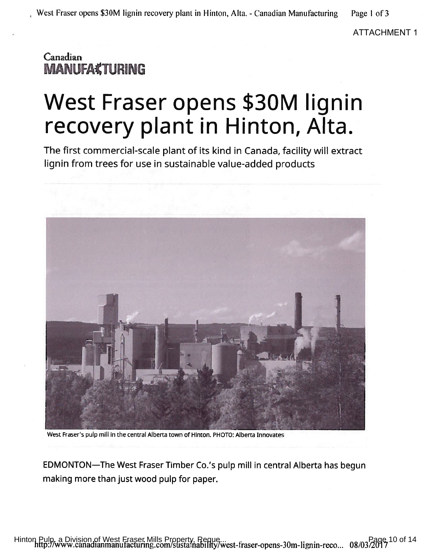Page 1 of 3

**ATTACHMENT 1** 

# Canadian **MANUFA¢TURING**

# West Fraser opens \$30M lignin recovery plant in Hinton, Alta.

The first commercial-scale plant of its kind in Canada, facility will extract lignin from trees for use in sustainable value-added products



West Fraser's pulp mill in the central Alberta town of Hinton. PHOTO: Alberta Innovates

EDMONTON-The West Fraser Timber Co.'s pulp mill in central Alberta has begun making more than just wood pulp for paper.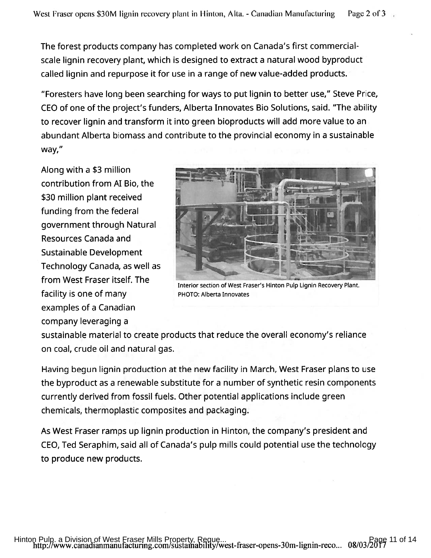The forest products company has completed work on Canada's first commercialscale lignin recovery plant, which is designed to extract a natural wood byproduct called lignin and repurpose it for use in a range of new value-added products.

"Foresters have long been searching for ways to put lignin to better use," Steve Price, CEO of one of the project's funders, Alberta Innovates Bio Solutions, said. "The ability to recover lignin and transform it into green bioproducts will add more value to an abundant Alberta biomass and contribute to the provincial economy in a sustainable way,"

Along with a \$3 million contribution from AI Bio, the \$30 million plant received funding from the federal government through Natural Resources Canada and **Sustainable Development** Technology Canada, as well as from West Fraser itself. The facility is one of many examples of a Canadian company leveraging a



Interior section of West Fraser's Hinton Pulp Lignin Recovery Plant. PHOTO: Alberta Innovates

sustainable material to create products that reduce the overall economy's reliance on coal, crude oil and natural gas.

Having begun lignin production at the new facility in March, West Fraser plans to use the byproduct as a renewable substitute for a number of synthetic resin components currently derived from fossil fuels. Other potential applications include green chemicals, thermoplastic composites and packaging.

As West Fraser ramps up lignin production in Hinton, the company's president and CEO, Ted Seraphim, said all of Canada's pulp mills could potential use the technology to produce new products.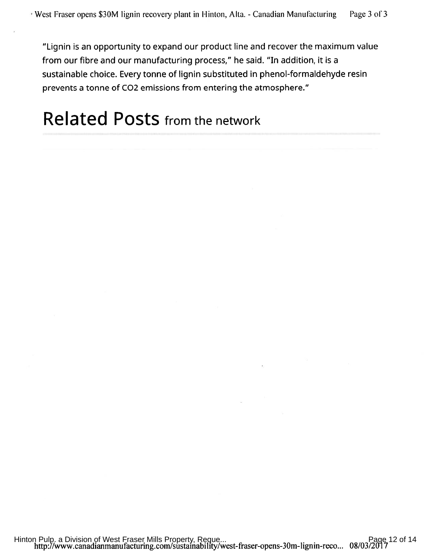"Lignin is an opportunity to expand our product line and recover the maximum value from our fibre and our manufacturing process," he said. "In addition, it is a sustainable choice. Every tonne of lignin substituted in phenol-formaldehyde resin prevents a tonne of CO2 emissions from entering the atmosphere."

# **Related Posts from the network**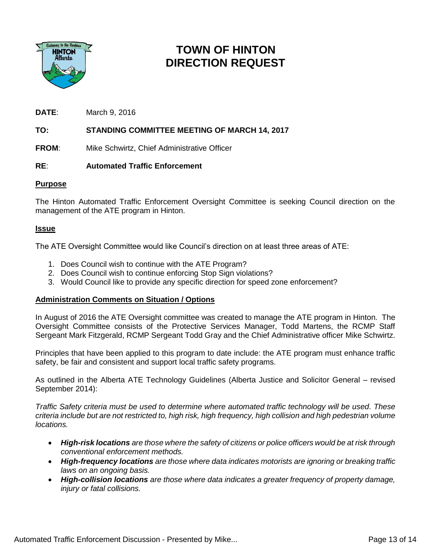

# **TOWN OF HINTON DIRECTION REQUEST**

**DATE**: March 9, 2016

# **TO: STANDING COMMITTEE MEETING OF MARCH 14, 2017**

**FROM:** Mike Schwirtz, Chief Administrative Officer

# **RE**: **Automated Traffic Enforcement**

# **Purpose**

The Hinton Automated Traffic Enforcement Oversight Committee is seeking Council direction on the management of the ATE program in Hinton.

# **Issue**

The ATE Oversight Committee would like Council's direction on at least three areas of ATE:

- 1. Does Council wish to continue with the ATE Program?
- 2. Does Council wish to continue enforcing Stop Sign violations?
- 3. Would Council like to provide any specific direction for speed zone enforcement?

# **Administration Comments on Situation / Options**

In August of 2016 the ATE Oversight committee was created to manage the ATE program in Hinton. The Oversight Committee consists of the Protective Services Manager, Todd Martens, the RCMP Staff Sergeant Mark Fitzgerald, RCMP Sergeant Todd Gray and the Chief Administrative officer Mike Schwirtz.

Principles that have been applied to this program to date include: the ATE program must enhance traffic safety, be fair and consistent and support local traffic safety programs.

As outlined in the Alberta ATE Technology Guidelines (Alberta Justice and Solicitor General – revised September 2014):

*Traffic Safety criteria must be used to determine where automated traffic technology will be used. These criteria include but are not restricted to, high risk, high frequency, high collision and high pedestrian volume locations.*

- *High-risk locations are those where the safety of citizens or police officers would be at risk through conventional enforcement methods.*
- *High-frequency locations are those where data indicates motorists are ignoring or breaking traffic laws on an ongoing basis.*
- *High-collision locations are those where data indicates a greater frequency of property damage, injury or fatal collisions.*